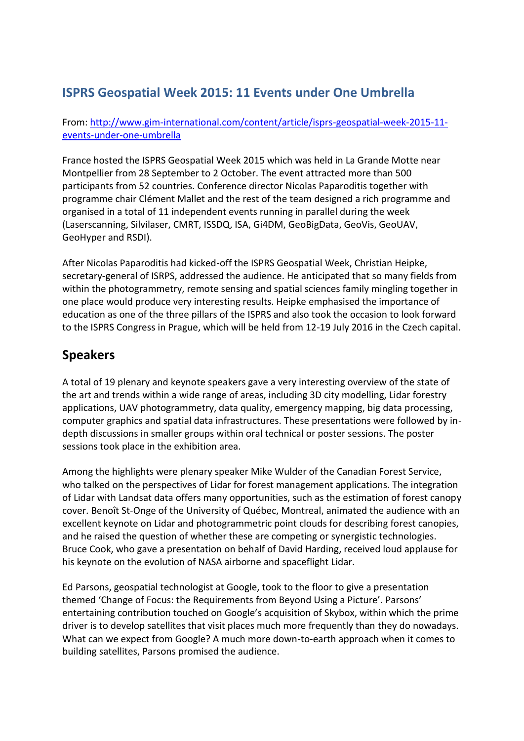## **ISPRS Geospatial Week 2015: 11 Events under One Umbrella**

From: [http://www.gim-international.com/content/article/isprs-geospatial-week-2015-11](http://www.gim-international.com/content/article/isprs-geospatial-week-2015-11-events-under-one-umbrella) [events-under-one-umbrella](http://www.gim-international.com/content/article/isprs-geospatial-week-2015-11-events-under-one-umbrella)

France hosted the ISPRS Geospatial Week 2015 which was held in La Grande Motte near Montpellier from 28 September to 2 October. The event attracted more than 500 participants from 52 countries. Conference director Nicolas Paparoditis together with programme chair Clément Mallet and the rest of the team designed a rich programme and organised in a total of 11 independent events running in parallel during the week (Laserscanning, Silvilaser, CMRT, ISSDQ, ISA, Gi4DM, GeoBigData, GeoVis, GeoUAV, GeoHyper and RSDI).

After Nicolas Paparoditis had kicked-off the ISPRS Geospatial Week, Christian Heipke, secretary-general of ISRPS, addressed the audience. He anticipated that so many fields from within the photogrammetry, remote sensing and spatial sciences family mingling together in one place would produce very interesting results. Heipke emphasised the importance of education as one of the three pillars of the ISPRS and also took the occasion to look forward to the ISPRS Congress in Prague, which will be held from 12-19 July 2016 in the Czech capital.

## **Speakers**

A total of 19 plenary and keynote speakers gave a very interesting overview of the state of the art and trends within a wide range of areas, including 3D city modelling, Lidar forestry applications, UAV photogrammetry, data quality, emergency mapping, big data processing, computer graphics and spatial data infrastructures. These presentations were followed by indepth discussions in smaller groups within oral technical or poster sessions. The poster sessions took place in the exhibition area.

Among the highlights were plenary speaker Mike Wulder of the Canadian Forest Service, who talked on the perspectives of Lidar for forest management applications. The integration of Lidar with Landsat data offers many opportunities, such as the estimation of forest canopy cover. Benoît St-Onge of the University of Québec, Montreal, animated the audience with an excellent keynote on Lidar and photogrammetric point clouds for describing forest canopies, and he raised the question of whether these are competing or synergistic technologies. Bruce Cook, who gave a presentation on behalf of David Harding, received loud applause for his keynote on the evolution of NASA airborne and spaceflight Lidar.

Ed Parsons, geospatial technologist at Google, took to the floor to give a presentation themed 'Change of Focus: the Requirements from Beyond Using a Picture'. Parsons' entertaining contribution touched on Google's acquisition of Skybox, within which the prime driver is to develop satellites that visit places much more frequently than they do nowadays. What can we expect from Google? A much more down-to-earth approach when it comes to building satellites, Parsons promised the audience.